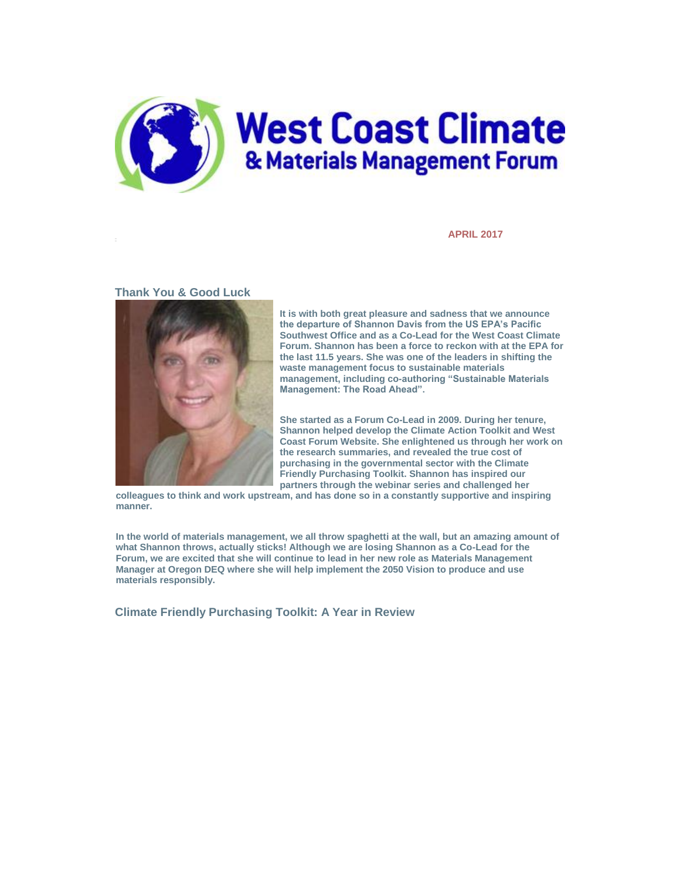

**APRIL 2017**

## **Thank You & Good Luck**



**It is with both great pleasure and sadness that we announce the departure of Shannon Davis from the US EPA's Pacific Southwest Office and as a Co-Lead for the West Coast Climate Forum. Shannon has been a force to reckon with at the EPA for the last 11.5 years. She was one of the leaders in shifting the waste management focus to sustainable materials management, including co-authoring "Sustainable Materials Management: The Road Ahead".**

**She started as a Forum Co-Lead in 2009. During her tenure, Shannon helped develop the Climate Action Toolkit and West Coast Forum Website. She enlightened us through her work on the research summaries, and revealed the true cost of purchasing in the governmental sector with the Climate Friendly Purchasing Toolkit. Shannon has inspired our partners through the webinar series and challenged her** 

**colleagues to think and work upstream, and has done so in a constantly supportive and inspiring manner.**

**In the world of materials management, we all throw spaghetti at the wall, but an amazing amount of what Shannon throws, actually sticks! Although we are losing Shannon as a Co-Lead for the Forum, we are excited that she will continue to lead in her new role as Materials Management Manager at Oregon DEQ where she will help implement the 2050 Vision to produce and use materials responsibly.**

**Climate Friendly Purchasing Toolkit: A Year in Review**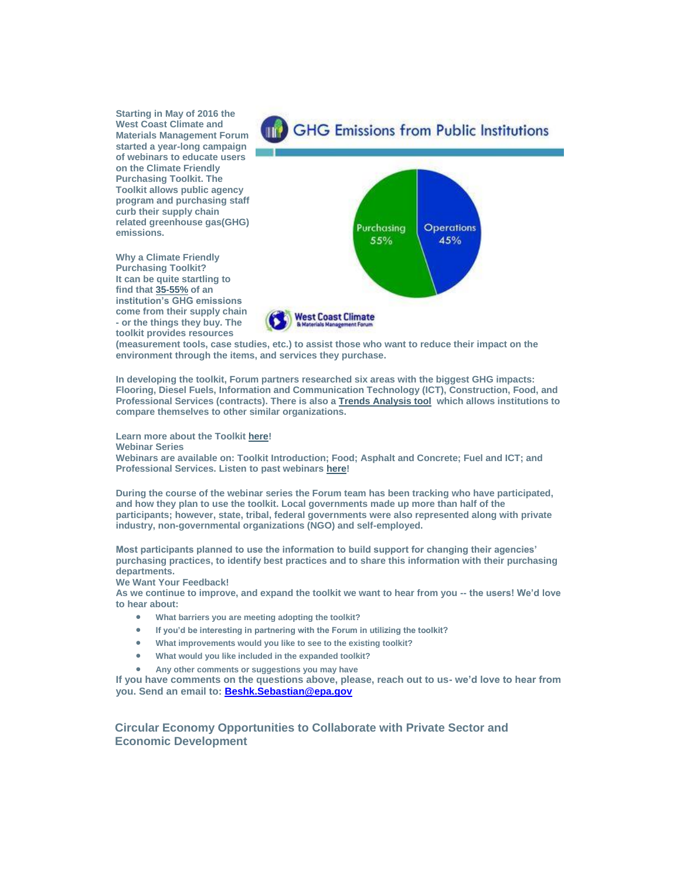**Starting in May of 2016 the West Coast Climate and Materials Management Forum started a year-long campaign of webinars to educate users on the Climate Friendly Purchasing Toolkit. The Toolkit allows public agency program and purchasing staff curb their supply chain related greenhouse gas(GHG) emissions.**

**Why a Climate Friendly Purchasing Toolkit? It can be quite startling to find that [35-55%](https://westcoastclimateforum.com/cfpt/HowTo) of an institution's GHG emissions come from their supply chain - or the things they buy. The toolkit provides resources** 



**(measurement tools, case studies, etc.) to assist those who want to reduce their impact on the environment through the items, and services they purchase.** 

**In developing the toolkit, Forum partners researched six areas with the biggest GHG impacts: Flooring, Diesel Fuels, Information and Communication Technology (ICT), Construction, Food, and Professional Services (contracts). There is also a [Trends Analysis tool](https://usepa.sharepoint.com/sites/r9_Work/ForumCommunications/SitePages/Home.aspx?RootFolder=%2Fsites%2Fr9%5FWork%2FForumCommunications%2FShared%20Documents%2FNewsletter&FolderCTID=0x012000EA0CA210ACBD9E4BAE41BB88558498D3&View=%7BCF03151A%2D498B%2D482F%2DBACD%2D4ABCBE9F170C%7Dhttps://westcoastclimateforum.com/cfpt/trendsanalysisintro) which allows institutions to compare themselves to other similar organizations.** 

**Learn more about the Toolkit [here!](https://westcoastclimateforum.com/cfpt)**

**Webinar Series**

**Webinars are available on: Toolkit Introduction; Food; Asphalt and Concrete; Fuel and ICT; and Professional Services. Listen to past webinars [here!](https://westcoastclimateforum.com/resources/webinars/upcoming)** 

**During the course of the webinar series the Forum team has been tracking who have participated, and how they plan to use the toolkit. Local governments made up more than half of the participants; however, state, tribal, federal governments were also represented along with private industry, non-governmental organizations (NGO) and self-employed.** 

**Most participants planned to use the information to build support for changing their agencies' purchasing practices, to identify best practices and to share this information with their purchasing departments.** 

**We Want Your Feedback!**

**As we continue to improve, and expand the toolkit we want to hear from you -- the users! We'd love to hear about:**

- **What barriers you are meeting adopting the toolkit?**
- **If you'd be interesting in partnering with the Forum in utilizing the toolkit?**
- **What improvements would you like to see to the existing toolkit?**
- **What would you like included in the expanded toolkit?**
- **Any other comments or suggestions you may have**

**If you have comments on the questions above, please, reach out to us- we'd love to hear from you. Send an email to: [Beshk.Sebastian@epa.gov](mailto:Beshk.Sebastian@epa.gov)**

**Circular Economy Opportunities to Collaborate with Private Sector and Economic Development**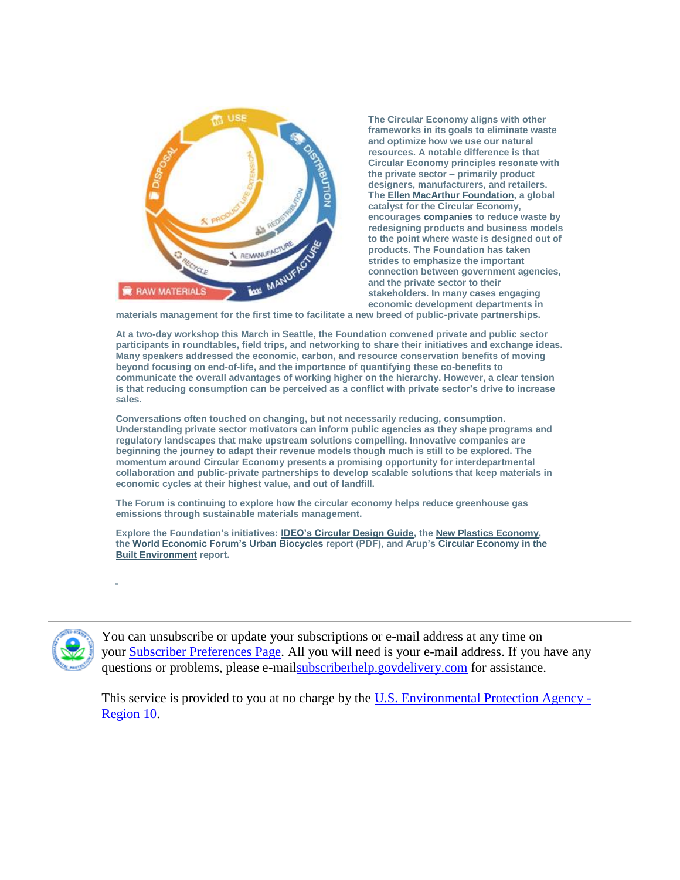

**The Circular Economy aligns with other frameworks in its goals to eliminate waste and optimize how we use our natural resources. A notable difference is that Circular Economy principles resonate with the private sector – primarily product designers, manufacturers, and retailers. The [Ellen MacArthur Foundation,](https://www.ellenmacarthurfoundation.org/) a global catalyst for the Circular Economy, encourages [companies](https://www.ellenmacarthurfoundation.org/about/partners) to reduce waste by redesigning products and business models to the point where waste is designed out of products. The Foundation has taken strides to emphasize the important connection between government agencies, and the private sector to their stakeholders. In many cases engaging economic development departments in** 

**materials management for the first time to facilitate a new breed of public-private partnerships.**

**At a two-day workshop this March in Seattle, the Foundation convened private and public sector participants in roundtables, field trips, and networking to share their initiatives and exchange ideas. Many speakers addressed the economic, carbon, and resource conservation benefits of moving beyond focusing on end-of-life, and the importance of quantifying these co-benefits to communicate the overall advantages of working higher on the hierarchy. However, a clear tension is that reducing consumption can be perceived as a conflict with private sector's drive to increase sales.**

**Conversations often touched on changing, but not necessarily reducing, consumption. Understanding private sector motivators can inform public agencies as they shape programs and regulatory landscapes that make upstream solutions compelling. Innovative companies are beginning the journey to adapt their revenue models though much is still to be explored. The momentum around Circular Economy presents a promising opportunity for interdepartmental collaboration and public-private partnerships to develop scalable solutions that keep materials in economic cycles at their highest value, and out of landfill.**

**The Forum is continuing to explore how the circular economy helps reduce greenhouse gas emissions through sustainable materials management.**

**Explore the Foundation's initiatives: [IDEO's Circular Design Guide,](https://www.circulardesignguide.com/) the [New Plastics Economy,](https://newplasticseconomy.org/) the [World Economic Forum's Urban Biocycles](http://www3.weforum.org/docs/WEF_Project_MainStream_Urban_Biocycles_2017.pdf) report (PDF), and Arup's [Circular Economy in the](http://publications.arup.com/publications/c/circular_economy_in_the_built_environment)  [Built Environment](http://publications.arup.com/publications/c/circular_economy_in_the_built_environment) report.**





You can unsubscribe or update your subscriptions or e-mail address at any time on your **Subscriber Preferences Page**. All you will need is your e-mail address. If you have any questions or problems, please e-mai[lsubscriberhelp.govdelivery.com](https://subscriberhelp.govdelivery.com/) for assistance.

This service is provided to you at no charge by the [U.S. Environmental Protection Agency -](http://www.epa.gov/region10) [Region 10.](http://www.epa.gov/region10)